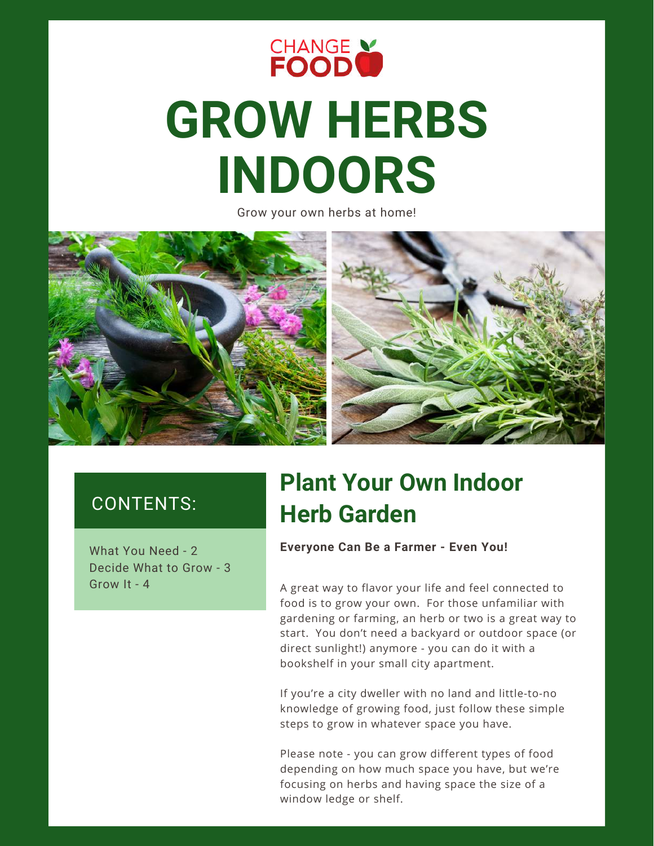

# **GROW HERBS INDOORS**

Grow your own herbs at home!



### CONTENTS:

Decide What to Grow - 3 Grow It - 4

### **Plant Your Own Indoor Herb Garden**

W **Everyone Can Be a Farmer - Even You!** hat You Need - 2

A great way to flavor your life and feel connected to food is to grow your own. For those unfamiliar with gardening or farming, an herb or two is a great way to start. You don't need a backyard or outdoor space (or direct sunlight!) anymore - you can do it with a bookshelf in your small city apartment.

If you're a city dweller with no land and little-to-no knowledge of growing food, just follow these simple steps to grow in whatever space you have.

Please note - you can grow different types of food depending on how much space you have, but we're focusing on herbs and having space the size of a window ledge or shelf.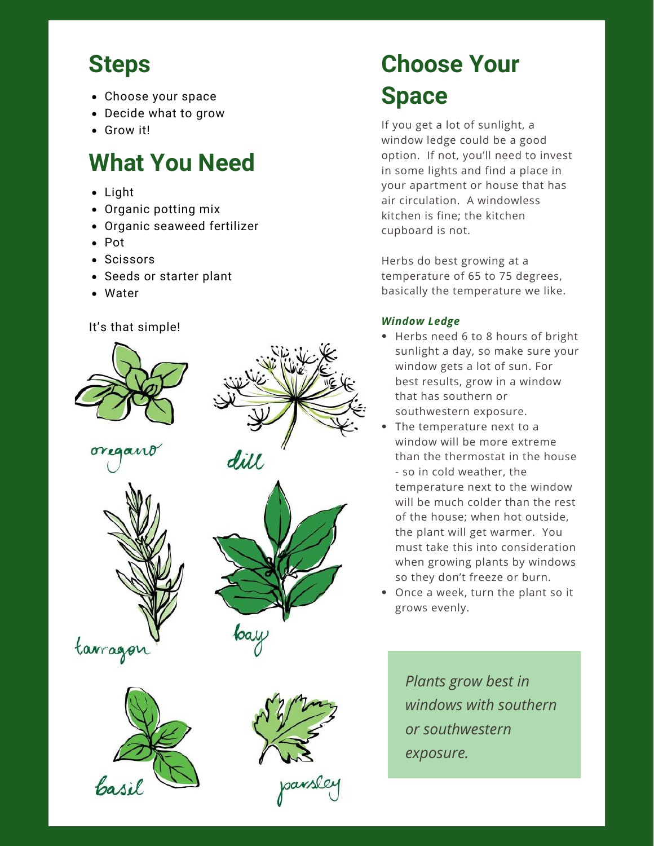### **Steps**

- Choose your space
- Decide what to grow
- Grow it!

### **What You Need**

- Light
- Organic potting mix
- Organic seaweed fertilizer
- Pot
- Scissors
- Seeds or starter plant
- Water

#### It's that simple!













## **Choose Your Space**

If you get a lot of sunlight, a window ledge could be a good option. If not, you'll need to invest in some lights and find a place in your apartment or house that has air circulation. A windowless kitchen is fine; the kitchen cupboard is not.

Herbs do best growing at a temperature of 65 to 75 degrees, basically the temperature we like.

#### *Window Ledge*

- Herbs need 6 to 8 hours of bright sunlight a day, so make sure your window gets a lot of sun. For best results, grow in a window that has southern or southwestern exposure.
- The temperature next to a window will be more extreme than the thermostat in the house - so in cold weather, the temperature next to the window will be much colder than the rest of the house; when hot outside, the plant will get warmer. You must take this into consideration when growing plants by windows so they don't freeze or burn.
- Once a week, turn the plant so it grows evenly.

*Plants grow best in windows with southern or southwestern exposure.*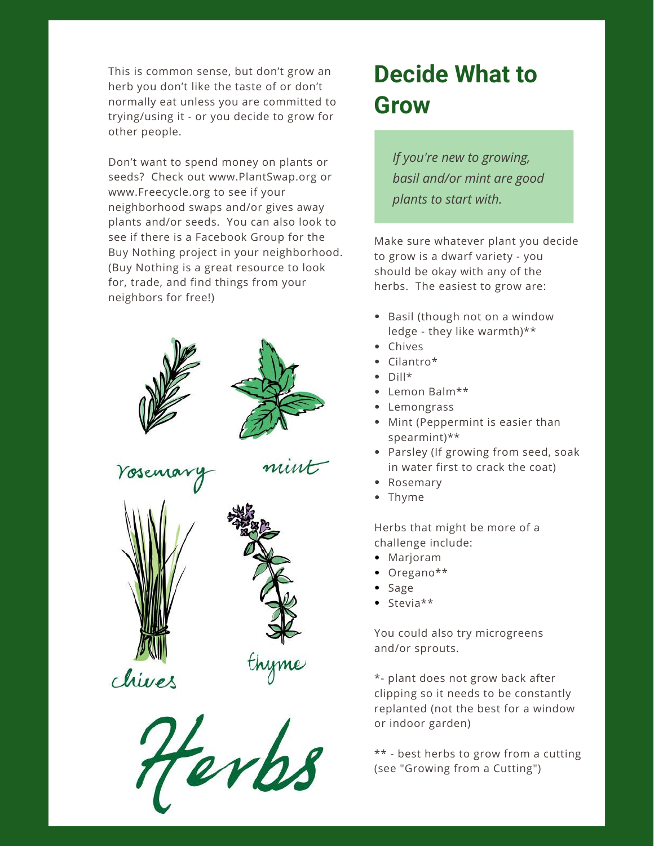This is common sense, but don't grow an herb you don't like the taste of or don't normally eat unless you are committed to trying/using it - or you decide to grow for other people.

Don't want to spend money on plants or seeds? Check out www.PlantSwap.org or www.Freecycle.org to see if your neighborhood swaps and/or gives away plants and/or seeds. You can also look to see if there is a Facebook Group for the Buy Nothing project in your neighborhood. (Buy Nothing is a great resource to look for, trade, and find things from your neighbors for free!)











chives

### **Decide What to Grow**

*If you're new to growing, basil and/or mint are good plants to start with.*

Make sure whatever plant you decide to grow is a dwarf variety - you should be okay with any of the herbs. The easiest to grow are:

- Basil (though not on a window ledge - they like warmth)\*\*
- Chives
- Cilantro\*
- $\bullet$  Dill\*
- Lemon Balm\*\*
- Lemongrass
- Mint (Peppermint is easier than spearmint)\*\*
- Parsley (If growing from seed, soak in water first to crack the coat)
- Rosemary
- Thyme

Herbs that might be more of a challenge include:

- Marjoram
- Oregano\*\*
- Sage
- $\bullet$  Stevia\*\*

You could also try microgreens and/or sprouts.

\*- plant does not grow back after clipping so it needs to be constantly replanted (not the best for a window or indoor garden)

\*\* - best herbs to grow from a cutting (see "Growing from a Cutting")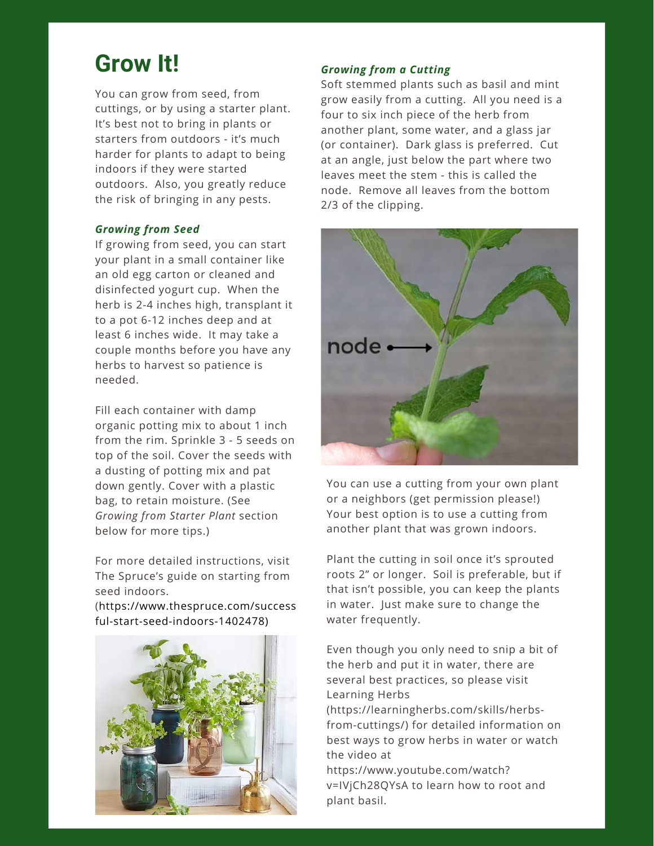### **Grow It!** *Growing from <sup>a</sup> Cutting*

You can grow from seed, from cuttings, or by using a starter plant. It's best not to bring in plants or starters from outdoors - it's much harder for plants to adapt to being indoors if they were started outdoors. Also, you greatly reduce the risk of bringing in any pests.

#### *Growing from Seed*

If growing from seed, you can start your plant in a small container like an old egg carton or cleaned and disinfected yogurt cup. When the herb is 2-4 inches high, transplant it to a pot 6-12 inches deep and at least 6 inches wide. It may take a couple months before you have any herbs to harvest so patience is needed.

Fill each container with damp organic potting mix to about 1 inch from the rim. Sprinkle 3 - 5 seeds on top of the soil. Cover the seeds with a dusting of potting mix and pat down gently. Cover with a plastic bag, to retain moisture. (See *Growing from Starter Plant* section below for more tips.)

For more detailed instructions, visit The Spruce's guide on starting from seed indoors.

(https://www.thespruce.com/success ful-start-seed-indoors-1402478)



Soft stemmed plants such as basil and mint grow easily from a cutting. All you need is a four to six inch piece of the herb from another plant, some water, and a glass jar (or container). Dark glass is preferred. Cut at an angle, just below the part where two leaves meet the stem - this is called the node. Remove all leaves from the bottom 2/3 of the clipping.



You can use a cutting from your own plant or a neighbors (get permission please!) Your best option is to use a cutting from another plant that was grown indoors.

Plant the cutting in soil once it's sprouted roots 2" or longer. Soil is preferable, but if that isn't possible, you can keep the plants in water. Just make sure to change the water frequently.

Even though you only need to snip a bit of the herb and put it in water, there are several best practices, so please visit Learning Herbs

(https://learningherbs.com/skills/herbsfrom-cuttings/) for detailed information on best ways to grow herbs in water or watch the video at

https://www.youtube.com/watch? v=IVjCh28QYsA to learn how to root and plant basil.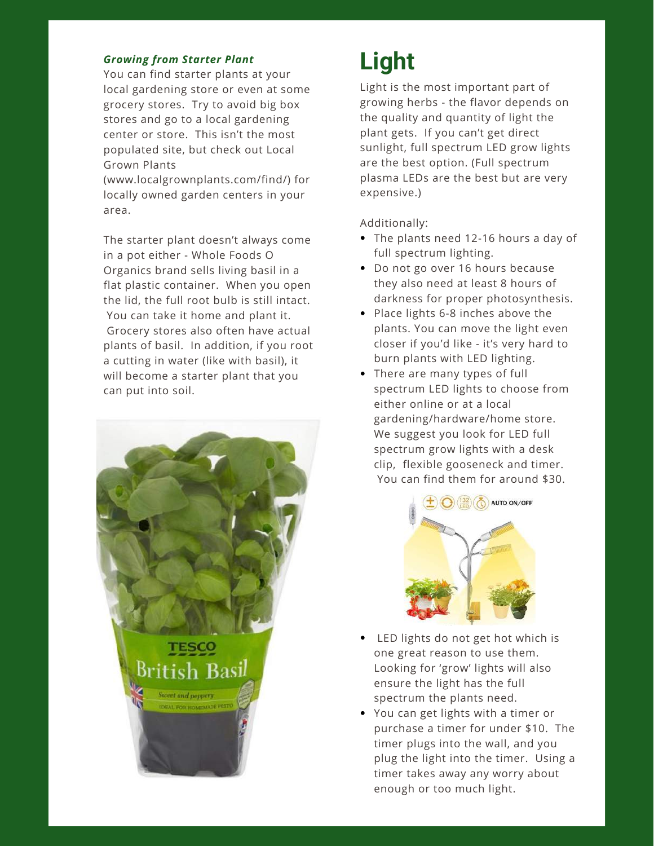#### *Growing from Starter Plant*

You can find starter plants at your local gardening store or even at some grocery stores. Try to avoid big box stores and go to a local gardening center or store. This isn't the most populated site, but check out Local Grown Plants

(www.localgrownplants.com/find/) for locally owned garden centers in your area.

The starter plant doesn't always come in a pot either - Whole Foods O Organics brand sells living basil in a flat plastic container. When you open the lid, the full root bulb is still intact. You can take it home and plant it. Grocery stores also often have actual plants of basil. In addition, if you root a cutting in water (like with basil), it will become a starter plant that you can put into soil.



### **Light**

Light is the most important part of growing herbs - the flavor depends on the quality and quantity of light the plant gets. If you can't get direct sunlight, full spectrum LED grow lights are the best option. (Full spectrum plasma LEDs are the best but are very expensive.)

Additionally:

- The plants need 12-16 hours a day of full spectrum lighting.
- Do not go over 16 hours because they also need at least 8 hours of darkness for proper photosynthesis.
- Place lights 6-8 inches above the plants. You can move the light even closer if you'd like - it's very hard to burn plants with LED lighting.
- There are many types of full spectrum LED lights to choose from either online or at a local gardening/hardware/home store. We suggest you look for LED full spectrum grow lights with a desk clip, flexible gooseneck and timer. You can find them for around \$30.



- LED lights do not get hot which is one great reason to use them. Looking for 'grow' lights will also ensure the light has the full spectrum the plants need.
- You can get lights with a timer or purchase a timer for under \$10. The timer plugs into the wall, and you plug the light into the timer. Using a timer takes away any worry about enough or too much light.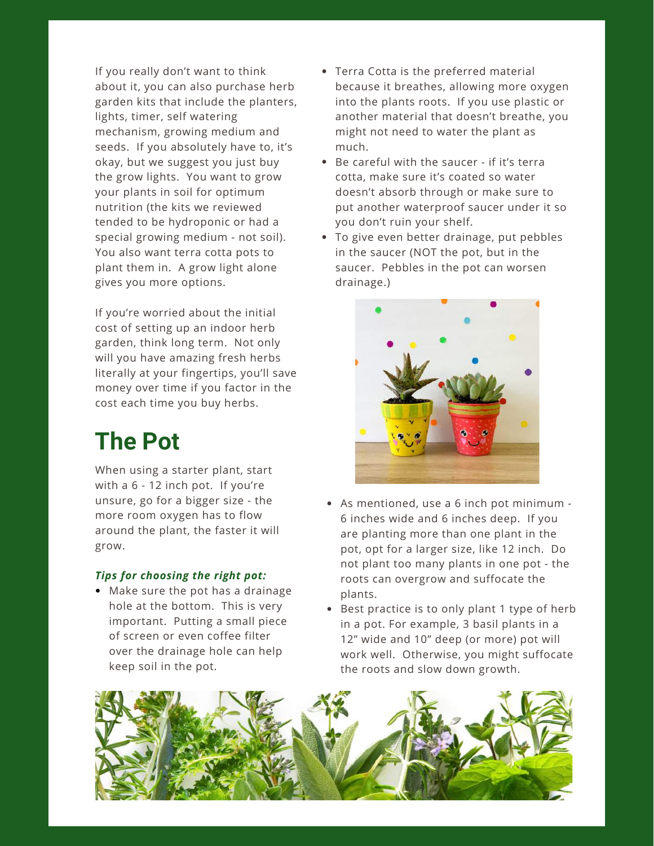If you really don't want to think about it, you can also purchase herb garden kits that include the planters, lights, timer, self watering mechanism, growing medium and seeds. If you absolutely have to, it's okay, but we suggest you just buy the grow lights. You want to grow your plants in soil for optimum nutrition (the kits we reviewed tended to be hydroponic or had a special growing medium - not soil). You also want terra cotta pots to plant them in. A grow light alone gives you more options.

If you're worried about the initial cost of setting up an indoor herb garden, think long term. Not only will you have amazing fresh herbs literally at your fingertips, you'll save money over time if you factor in the cost each time you buy herbs.

### **The Pot**

When using a starter plant, start with a 6 - 12 inch pot. If you're unsure, go for a bigger size - the more room oxygen has to flow around the plant, the faster it will grow.

#### *Tips for choosing the right pot:*

Make sure the pot has a drainage hole at the bottom. This is very important. Putting a small piece of screen or even coffee filter over the drainage hole can help keep soil in the pot.

- Terra Cotta is the preferred material because it breathes, allowing more oxygen into the plants roots. If you use plastic or another material that doesn't breathe, you might not need to water the plant as much.
- Be careful with the saucer if it's terra cotta, make sure it's coated so water doesn't absorb through or make sure to put another waterproof saucer under it so you don't ruin your shelf.
- To give even better drainage, put pebbles in the saucer (NOT the pot, but in the saucer. Pebbles in the pot can worsen drainage.)



- As mentioned, use a 6 inch pot minimum 6 inches wide and 6 inches deep. If you are planting more than one plant in the pot, opt for a larger size, like 12 inch. Do not plant too many plants in one pot - the roots can overgrow and suffocate the plants.
- Best practice is to only plant 1 type of herb in a pot. For example, 3 basil plants in a 12" wide and 10" deep (or more) pot will work well. Otherwise, you might suffocate the roots and slow down growth.

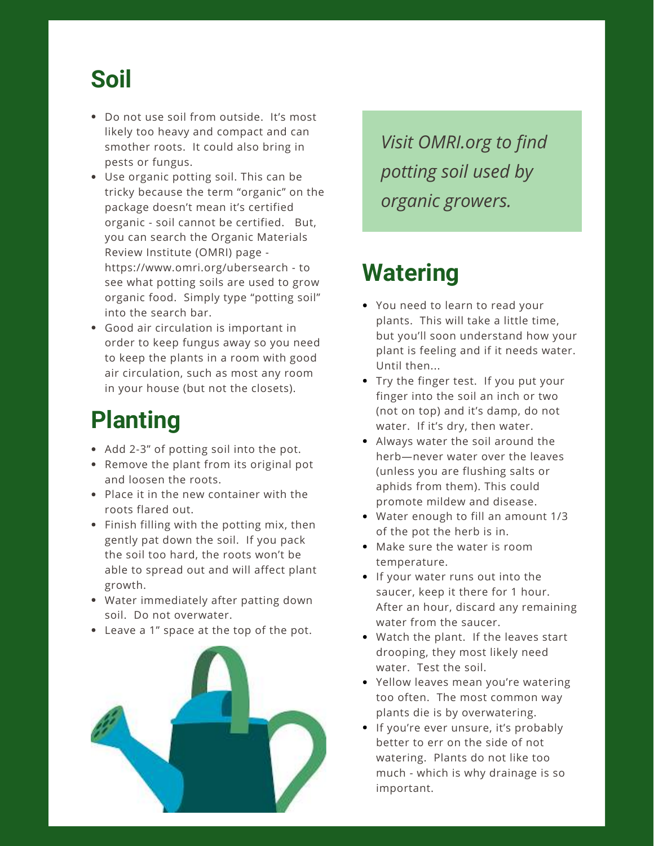### **Soil**

- Do not use soil from outside. It's most likely too heavy and compact and can smother roots. It could also bring in pests or fungus.
- Use organic potting soil. This can be tricky because the term "organic" on the package doesn't mean it's certified organic - soil cannot be certified. But, you can search the Organic Materials Review Institute (OMRI) page https://www.omri.org/ubersearch - to see what potting soils are used to grow organic food. Simply type "potting soil" into the search bar.
- Good air circulation is important in order to keep fungus away so you need to keep the plants in a room with good air circulation, such as most any room in your house (but not the closets).

### **Planting**

- Add 2-3" of potting soil into the pot.
- Remove the plant from its original pot and loosen the roots.
- Place it in the new container with the roots flared out.
- Finish filling with the potting mix, then gently pat down the soil. If you pack the soil too hard, the roots won't be able to spread out and will affect plant growth.
- Water immediately after patting down soil. Do not overwater.
- Leave a 1" space at the top of the pot.



*Visit OMRI.org to find potting soil used by organic growers.*

### **Watering**

- You need to learn to read your plants. This will take a little time, but you'll soon understand how your plant is feeling and if it needs water. Until then...
- Try the finger test. If you put your finger into the soil an inch or two (not on top) and it's damp, do not water. If it's dry, then water.
- Always water the soil around the herb—never water over the leaves (unless you are flushing salts or aphids from them). This could promote mildew and disease.
- Water enough to fill an amount 1/3 of the pot the herb is in.
- Make sure the water is room temperature.
- If your water runs out into the saucer, keep it there for 1 hour. After an hour, discard any remaining water from the saucer.
- Watch the plant. If the leaves start drooping, they most likely need water. Test the soil.
- Yellow leaves mean you're watering too often. The most common way plants die is by overwatering.
- If you're ever unsure, it's probably better to err on the side of not watering. Plants do not like too much - which is why drainage is so important.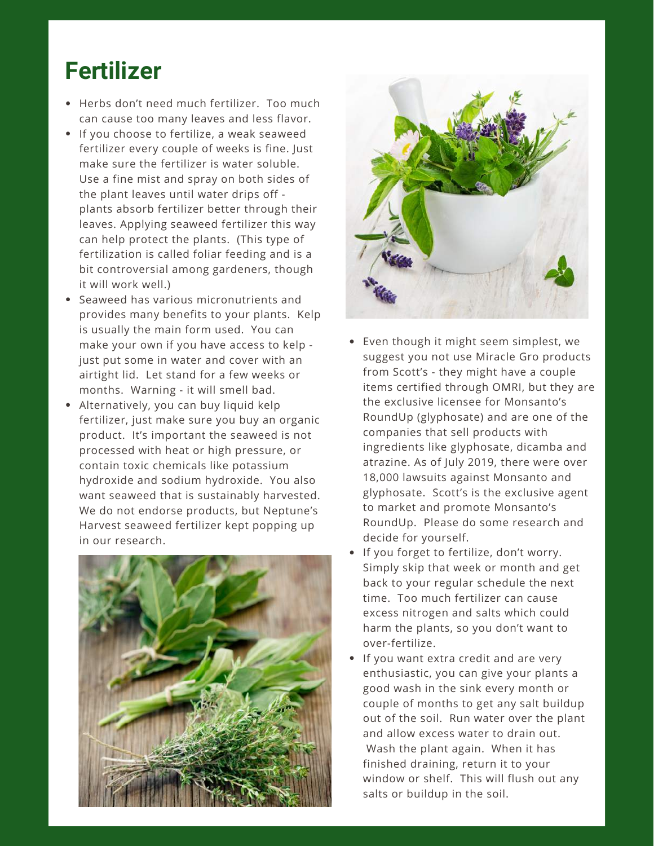### **Fertilizer**

- Herbs don't need much fertilizer. Too much can cause too many leaves and less flavor.
- If you choose to fertilize, a weak seaweed fertilizer every couple of weeks is fine. Just make sure the fertilizer is water soluble. Use a fine mist and spray on both sides of the plant leaves until water drips off plants absorb fertilizer better through their leaves. Applying seaweed fertilizer this way can help protect the plants. (This type of fertilization is called foliar feeding and is a bit controversial among gardeners, though it will work well.)
- Seaweed has various micronutrients and provides many benefits to your plants. Kelp is usually the main form used. You can make your own if you have access to kelp just put some in water and cover with an airtight lid. Let stand for a few weeks or months. Warning - it will smell bad.
- Alternatively, you can buy liquid kelp fertilizer, just make sure you buy an organic product. It's important the seaweed is not processed with heat or high pressure, or contain toxic chemicals like potassium hydroxide and sodium hydroxide. You also want seaweed that is sustainably harvested. We do not endorse products, but Neptune's Harvest seaweed fertilizer kept popping up in our research.





- Even though it might seem simplest, we suggest you not use Miracle Gro products from Scott's - they might have a couple items certified through OMRI, but they are the exclusive licensee for Monsanto's RoundUp (glyphosate) and are one of the companies that sell products with ingredients like glyphosate, dicamba and atrazine. As of July 2019, there were over 18,000 lawsuits against Monsanto and glyphosate. Scott's is the exclusive agent to market and promote Monsanto's RoundUp. Please do some research and decide for yourself.
- If you forget to fertilize, don't worry. Simply skip that week or month and get back to your regular schedule the next time. Too much fertilizer can cause excess nitrogen and salts which could harm the plants, so you don't want to over-fertilize.
- If you want extra credit and are very enthusiastic, you can give your plants a good wash in the sink every month or couple of months to get any salt buildup out of the soil. Run water over the plant and allow excess water to drain out. Wash the plant again. When it has finished draining, return it to your window or shelf. This will flush out any salts or buildup in the soil.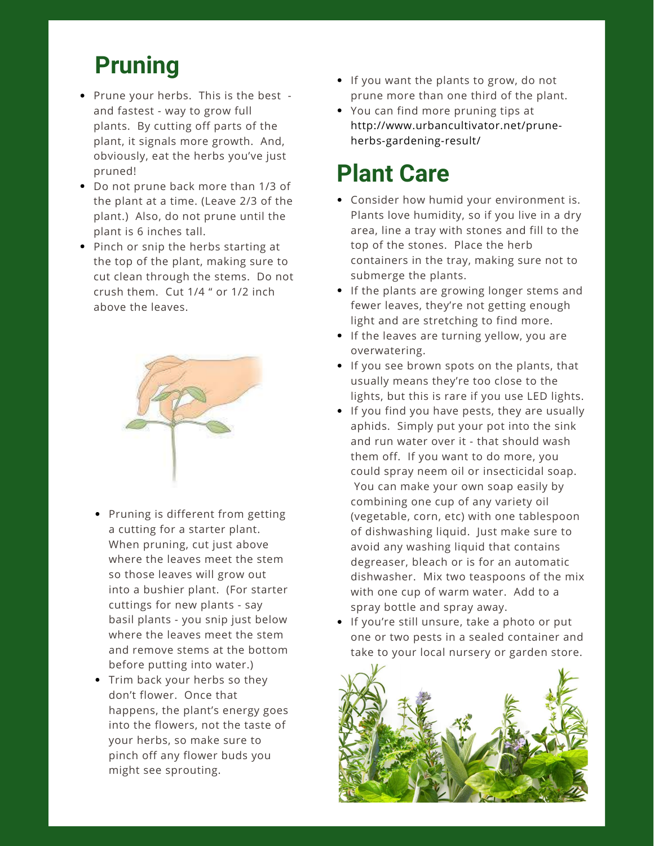### **Pruning**

- Prune your herbs. This is the best and fastest - way to grow full plants. By cutting off parts of the plant, it signals more growth. And, obviously, eat the herbs you've just pruned!
- Do not prune back more than 1/3 of the plant at a time. (Leave 2/3 of the plant.) Also, do not prune until the plant is 6 inches tall.
- Pinch or snip the herbs starting at the top of the plant, making sure to cut clean through the stems. Do not crush them. Cut 1/4 " or 1/2 inch above the leaves.



- Pruning is different from getting a cutting for a starter plant. When pruning, cut just above where the leaves meet the stem so those leaves will grow out into a bushier plant. (For starter cuttings for new plants - say basil plants - you snip just below where the leaves meet the stem and remove stems at the bottom before putting into water.)
- Trim back your herbs so they don't flower. Once that happens, the plant's energy goes into the flowers, not the taste of your herbs, so make sure to pinch off any flower buds you might see sprouting.
- If you want the plants to grow, do not prune more than one third of the plant.
- You can find more pruning tips at http://www.urbancultivator.net/pruneherbs-gardening-result/

### **Plant Care**

- Consider how humid your environment is. Plants love humidity, so if you live in a dry area, line a tray with stones and fill to the top of the stones. Place the herb containers in the tray, making sure not to submerge the plants.
- If the plants are growing longer stems and fewer leaves, they're not getting enough light and are stretching to find more.
- If the leaves are turning yellow, you are overwatering.
- If you see brown spots on the plants, that usually means they're too close to the lights, but this is rare if you use LED lights.
- If you find you have pests, they are usually aphids. Simply put your pot into the sink and run water over it - that should wash them off. If you want to do more, you could spray neem oil or insecticidal soap. You can make your own soap easily by combining one cup of any variety oil (vegetable, corn, etc) with one tablespoon of dishwashing liquid. Just make sure to avoid any washing liquid that contains degreaser, bleach or is for an automatic dishwasher. Mix two teaspoons of the mix with one cup of warm water. Add to a spray bottle and spray away.
- **If you're still unsure, take a photo or put** one or two pests in a sealed container and take to your local nursery or garden store.